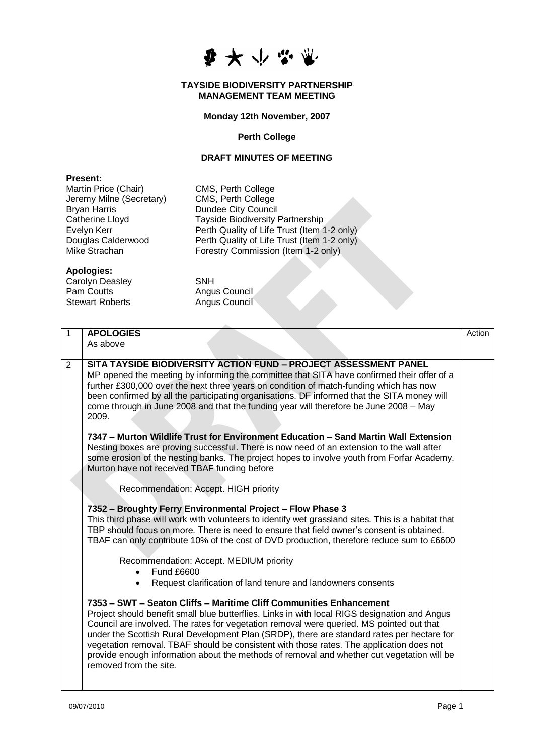

### **TAYSIDE BIODIVERSITY PARTNERSHIP MANAGEMENT TEAM MEETING**

**Monday 12th November, 2007**

### **Perth College**

# **DRAFT MINUTES OF MEETING**

Forestry Commission (Item 1-2 only)

#### **Present:**

Martin Price (Chair) CMS, Perth College Jeremy Milne (Secretary) CMS, Perth College Bryan Harris Dundee City Council Catherine Lloyd<br>
Evelyn Kerr **Tayside Biodiversity Partnership**<br>
Perth Quality of Life Trust (Item 1) Evelyn Kerr **Perth Quality of Life Trust (Item 1-2 only)**<br>Douglas Calderwood Perth Quality of Life Trust (Item 1-2 only) Douglas Calderwood Perth Quality of Life Trust (Item 1-2 only)<br>Mike Strachan **Prophetic Propetity Commission** (Item 1-2 only)

## **Apologies:**

Carolyn Deasley SNH Pam Coutts<br>
Stewart Roberts

Stewart Roberts

Angus Council

Angus Council

| $\mathbf{1}$   | <b>APOLOGIES</b><br>As above                                                                                                                                                                                                                                                                                                                                                                                                                                                                                                                                                       | Action |
|----------------|------------------------------------------------------------------------------------------------------------------------------------------------------------------------------------------------------------------------------------------------------------------------------------------------------------------------------------------------------------------------------------------------------------------------------------------------------------------------------------------------------------------------------------------------------------------------------------|--------|
| $\overline{2}$ | SITA TAYSIDE BIODIVERSITY ACTION FUND - PROJECT ASSESSMENT PANEL<br>MP opened the meeting by informing the committee that SITA have confirmed their offer of a<br>further £300,000 over the next three years on condition of match-funding which has now<br>been confirmed by all the participating organisations. DF informed that the SITA money will<br>come through in June 2008 and that the funding year will therefore be June 2008 - May<br>2009.                                                                                                                          |        |
|                | 7347 - Murton Wildlife Trust for Environment Education - Sand Martin Wall Extension<br>Nesting boxes are proving successful. There is now need of an extension to the wall after<br>some erosion of the nesting banks. The project hopes to involve youth from Forfar Academy.<br>Murton have not received TBAF funding before                                                                                                                                                                                                                                                     |        |
|                | Recommendation: Accept. HIGH priority                                                                                                                                                                                                                                                                                                                                                                                                                                                                                                                                              |        |
|                | 7352 - Broughty Ferry Environmental Project - Flow Phase 3<br>This third phase will work with volunteers to identify wet grassland sites. This is a habitat that<br>TBP should focus on more. There is need to ensure that field owner's consent is obtained.<br>TBAF can only contribute 10% of the cost of DVD production, therefore reduce sum to £6600                                                                                                                                                                                                                         |        |
|                | Recommendation: Accept. MEDIUM priority<br><b>Fund £6600</b><br>Request clarification of land tenure and landowners consents<br>$\bullet$                                                                                                                                                                                                                                                                                                                                                                                                                                          |        |
|                | 7353 - SWT - Seaton Cliffs - Maritime Cliff Communities Enhancement<br>Project should benefit small blue butterflies. Links in with local RIGS designation and Angus<br>Council are involved. The rates for vegetation removal were queried. MS pointed out that<br>under the Scottish Rural Development Plan (SRDP), there are standard rates per hectare for<br>vegetation removal. TBAF should be consistent with those rates. The application does not<br>provide enough information about the methods of removal and whether cut vegetation will be<br>removed from the site. |        |
|                |                                                                                                                                                                                                                                                                                                                                                                                                                                                                                                                                                                                    |        |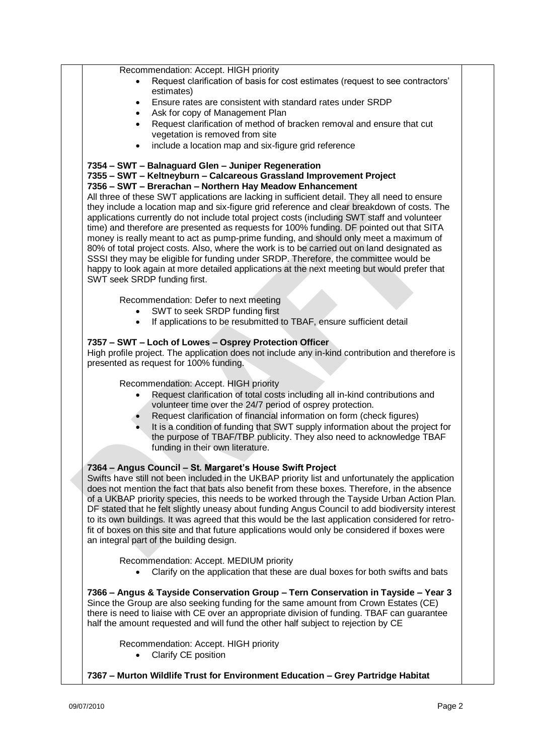Recommendation: Accept. HIGH priority Request clarification of basis for cost estimates (request to see contractors' estimates) Ensure rates are consistent with standard rates under SRDP Ask for copy of Management Plan Request clarification of method of bracken removal and ensure that cut vegetation is removed from site include a location map and six-figure grid reference **7354 – SWT – Balnaguard Glen – Juniper Regeneration 7355 – SWT – Keltneyburn – Calcareous Grassland Improvement Project 7356 – SWT – Brerachan – Northern Hay Meadow Enhancement** All three of these SWT applications are lacking in sufficient detail. They all need to ensure they include a location map and six-figure grid reference and clear breakdown of costs. The applications currently do not include total project costs (including SWT staff and volunteer time) and therefore are presented as requests for 100% funding. DF pointed out that SITA money is really meant to act as pump-prime funding, and should only meet a maximum of 80% of total project costs. Also, where the work is to be carried out on land designated as SSSI they may be eligible for funding under SRDP. Therefore, the committee would be happy to look again at more detailed applications at the next meeting but would prefer that SWT seek SRDP funding first. Recommendation: Defer to next meeting SWT to seek SRDP funding first If applications to be resubmitted to TBAF, ensure sufficient detail **7357 – SWT – Loch of Lowes – Osprey Protection Officer** High profile project. The application does not include any in-kind contribution and therefore is presented as request for 100% funding. Recommendation: Accept. HIGH priority Request clarification of total costs including all in-kind contributions and volunteer time over the 24/7 period of osprey protection. Request clarification of financial information on form (check figures) It is a condition of funding that SWT supply information about the project for the purpose of TBAF/TBP publicity. They also need to acknowledge TBAF funding in their own literature. **7364 – Angus Council – St. Margaret's House Swift Project** Swifts have still not been included in the UKBAP priority list and unfortunately the application does not mention the fact that bats also benefit from these boxes. Therefore, in the absence of a UKBAP priority species, this needs to be worked through the Tayside Urban Action Plan. DF stated that he felt slightly uneasy about funding Angus Council to add biodiversity interest to its own buildings. It was agreed that this would be the last application considered for retrofit of boxes on this site and that future applications would only be considered if boxes were an integral part of the building design. Recommendation: Accept. MEDIUM priority Clarify on the application that these are dual boxes for both swifts and bats **7366 – Angus & Tayside Conservation Group – Tern Conservation in Tayside – Year 3** Since the Group are also seeking funding for the same amount from Crown Estates (CE) there is need to liaise with CE over an appropriate division of funding. TBAF can guarantee half the amount requested and will fund the other half subject to rejection by CE Recommendation: Accept. HIGH priority • Clarify CE position **7367 – Murton Wildlife Trust for Environment Education – Grey Partridge Habitat**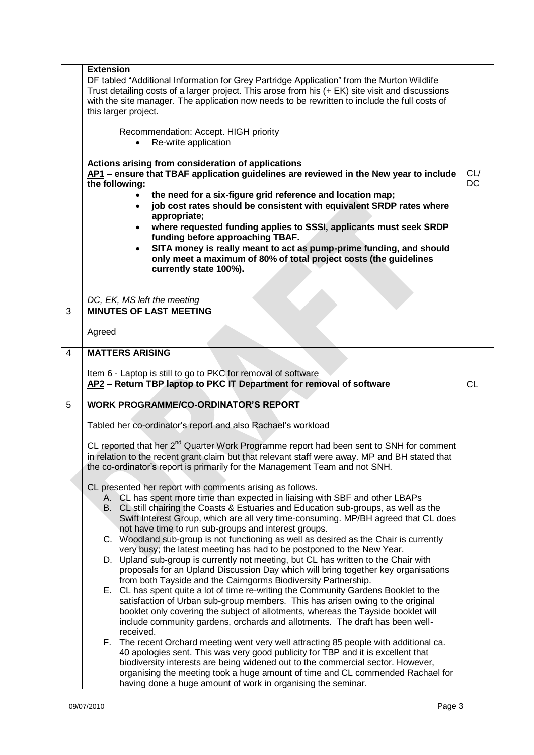|                | <b>Extension</b><br>DF tabled "Additional Information for Grey Partridge Application" from the Murton Wildlife<br>Trust detailing costs of a larger project. This arose from his (+ EK) site visit and discussions<br>with the site manager. The application now needs to be rewritten to include the full costs of<br>this larger project.<br>Recommendation: Accept. HIGH priority<br>Re-write application<br>Actions arising from consideration of applications<br>AP1 - ensure that TBAF application guidelines are reviewed in the New year to include<br>the following:<br>the need for a six-figure grid reference and location map;<br>job cost rates should be consistent with equivalent SRDP rates where<br>appropriate;<br>where requested funding applies to SSSI, applicants must seek SRDP<br>funding before approaching TBAF.<br>SITA money is really meant to act as pump-prime funding, and should<br>only meet a maximum of 80% of total project costs (the guidelines<br>currently state 100%). | CL/<br><b>DC</b> |
|----------------|---------------------------------------------------------------------------------------------------------------------------------------------------------------------------------------------------------------------------------------------------------------------------------------------------------------------------------------------------------------------------------------------------------------------------------------------------------------------------------------------------------------------------------------------------------------------------------------------------------------------------------------------------------------------------------------------------------------------------------------------------------------------------------------------------------------------------------------------------------------------------------------------------------------------------------------------------------------------------------------------------------------------|------------------|
|                | DC, EK, MS left the meeting                                                                                                                                                                                                                                                                                                                                                                                                                                                                                                                                                                                                                                                                                                                                                                                                                                                                                                                                                                                         |                  |
| 3              | <b>MINUTES OF LAST MEETING</b>                                                                                                                                                                                                                                                                                                                                                                                                                                                                                                                                                                                                                                                                                                                                                                                                                                                                                                                                                                                      |                  |
|                | Agreed                                                                                                                                                                                                                                                                                                                                                                                                                                                                                                                                                                                                                                                                                                                                                                                                                                                                                                                                                                                                              |                  |
| $\overline{4}$ | <b>MATTERS ARISING</b>                                                                                                                                                                                                                                                                                                                                                                                                                                                                                                                                                                                                                                                                                                                                                                                                                                                                                                                                                                                              |                  |
|                | Item 6 - Laptop is still to go to PKC for removal of software<br>AP2 - Return TBP laptop to PKC IT Department for removal of software                                                                                                                                                                                                                                                                                                                                                                                                                                                                                                                                                                                                                                                                                                                                                                                                                                                                               | <b>CL</b>        |
| 5              | <b>WORK PROGRAMME/CO-ORDINATOR'S REPORT</b>                                                                                                                                                                                                                                                                                                                                                                                                                                                                                                                                                                                                                                                                                                                                                                                                                                                                                                                                                                         |                  |
|                | Tabled her co-ordinator's report and also Rachael's workload                                                                                                                                                                                                                                                                                                                                                                                                                                                                                                                                                                                                                                                                                                                                                                                                                                                                                                                                                        |                  |
|                | CL reported that her 2 <sup>nd</sup> Quarter Work Programme report had been sent to SNH for comment<br>in relation to the recent grant claim but that relevant staff were away. MP and BH stated that<br>the co-ordinator's report is primarily for the Management Team and not SNH.                                                                                                                                                                                                                                                                                                                                                                                                                                                                                                                                                                                                                                                                                                                                |                  |
|                | CL presented her report with comments arising as follows.                                                                                                                                                                                                                                                                                                                                                                                                                                                                                                                                                                                                                                                                                                                                                                                                                                                                                                                                                           |                  |
|                | A. CL has spent more time than expected in liaising with SBF and other LBAPs<br>B. CL still chairing the Coasts & Estuaries and Education sub-groups, as well as the<br>Swift Interest Group, which are all very time-consuming. MP/BH agreed that CL does                                                                                                                                                                                                                                                                                                                                                                                                                                                                                                                                                                                                                                                                                                                                                          |                  |
|                | not have time to run sub-groups and interest groups.<br>C. Woodland sub-group is not functioning as well as desired as the Chair is currently                                                                                                                                                                                                                                                                                                                                                                                                                                                                                                                                                                                                                                                                                                                                                                                                                                                                       |                  |
|                | very busy; the latest meeting has had to be postponed to the New Year.<br>D. Upland sub-group is currently not meeting, but CL has written to the Chair with<br>proposals for an Upland Discussion Day which will bring together key organisations                                                                                                                                                                                                                                                                                                                                                                                                                                                                                                                                                                                                                                                                                                                                                                  |                  |
|                | from both Tayside and the Cairngorms Biodiversity Partnership.<br>E. CL has spent quite a lot of time re-writing the Community Gardens Booklet to the                                                                                                                                                                                                                                                                                                                                                                                                                                                                                                                                                                                                                                                                                                                                                                                                                                                               |                  |
|                | satisfaction of Urban sub-group members. This has arisen owing to the original<br>booklet only covering the subject of allotments, whereas the Tayside booklet will<br>include community gardens, orchards and allotments. The draft has been well-<br>received.                                                                                                                                                                                                                                                                                                                                                                                                                                                                                                                                                                                                                                                                                                                                                    |                  |
|                | F. The recent Orchard meeting went very well attracting 85 people with additional ca.<br>40 apologies sent. This was very good publicity for TBP and it is excellent that<br>biodiversity interests are being widened out to the commercial sector. However,<br>organising the meeting took a huge amount of time and CL commended Rachael for<br>having done a huge amount of work in organising the seminar.                                                                                                                                                                                                                                                                                                                                                                                                                                                                                                                                                                                                      |                  |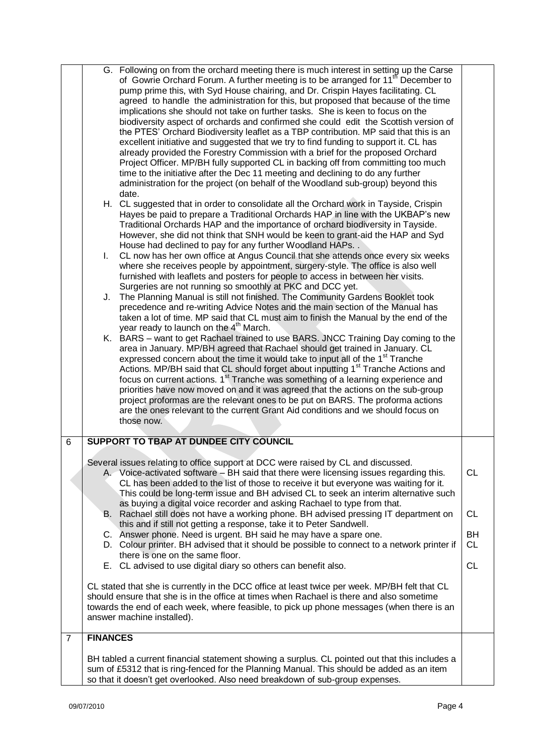|                | G. Following on from the orchard meeting there is much interest in setting up the Carse<br>of Gowrie Orchard Forum. A further meeting is to be arranged for 11 <sup>th</sup> December to<br>pump prime this, with Syd House chairing, and Dr. Crispin Hayes facilitating. CL<br>agreed to handle the administration for this, but proposed that because of the time<br>implications she should not take on further tasks. She is keen to focus on the<br>biodiversity aspect of orchards and confirmed she could edit the Scottish version of<br>the PTES' Orchard Biodiversity leaflet as a TBP contribution. MP said that this is an<br>excellent initiative and suggested that we try to find funding to support it. CL has<br>already provided the Forestry Commission with a brief for the proposed Orchard<br>Project Officer. MP/BH fully supported CL in backing off from committing too much<br>time to the initiative after the Dec 11 meeting and declining to do any further<br>administration for the project (on behalf of the Woodland sub-group) beyond this<br>date.<br>H. CL suggested that in order to consolidate all the Orchard work in Tayside, Crispin<br>Hayes be paid to prepare a Traditional Orchards HAP in line with the UKBAP's new<br>Traditional Orchards HAP and the importance of orchard biodiversity in Tayside.<br>However, she did not think that SNH would be keen to grant-aid the HAP and Syd<br>House had declined to pay for any further Woodland HAPs. .<br>CL now has her own office at Angus Council that she attends once every six weeks<br>$\mathbf{L}$<br>where she receives people by appointment, surgery-style. The office is also well<br>furnished with leaflets and posters for people to access in between her visits.<br>Surgeries are not running so smoothly at PKC and DCC yet.<br>J. The Planning Manual is still not finished. The Community Gardens Booklet took<br>precedence and re-writing Advice Notes and the main section of the Manual has<br>taken a lot of time. MP said that CL must aim to finish the Manual by the end of the<br>year ready to launch on the 4 <sup>th</sup> March.<br>K. BARS – want to get Rachael trained to use BARS. JNCC Training Day coming to the<br>area in January. MP/BH agreed that Rachael should get trained in January. CL<br>expressed concern about the time it would take to input all of the 1 <sup>st</sup> Tranche<br>Actions. MP/BH said that CL should forget about inputting 1 <sup>st</sup> Tranche Actions and<br>focus on current actions. 1 <sup>st</sup> Tranche was something of a learning experience and<br>priorities have now moved on and it was agreed that the actions on the sub-group<br>project proformas are the relevant ones to be put on BARS. The proforma actions<br>are the ones relevant to the current Grant Aid conditions and we should focus on<br>those now. |                 |
|----------------|----------------------------------------------------------------------------------------------------------------------------------------------------------------------------------------------------------------------------------------------------------------------------------------------------------------------------------------------------------------------------------------------------------------------------------------------------------------------------------------------------------------------------------------------------------------------------------------------------------------------------------------------------------------------------------------------------------------------------------------------------------------------------------------------------------------------------------------------------------------------------------------------------------------------------------------------------------------------------------------------------------------------------------------------------------------------------------------------------------------------------------------------------------------------------------------------------------------------------------------------------------------------------------------------------------------------------------------------------------------------------------------------------------------------------------------------------------------------------------------------------------------------------------------------------------------------------------------------------------------------------------------------------------------------------------------------------------------------------------------------------------------------------------------------------------------------------------------------------------------------------------------------------------------------------------------------------------------------------------------------------------------------------------------------------------------------------------------------------------------------------------------------------------------------------------------------------------------------------------------------------------------------------------------------------------------------------------------------------------------------------------------------------------------------------------------------------------------------------------------------------------------------------------------------------------------------------------------------------------------------------------------------------------------------------------------------------------------------------------------------------------------------------------------------------------------------------------------------------------------------------------------------------------------|-----------------|
| 6              | SUPPORT TO TBAP AT DUNDEE CITY COUNCIL                                                                                                                                                                                                                                                                                                                                                                                                                                                                                                                                                                                                                                                                                                                                                                                                                                                                                                                                                                                                                                                                                                                                                                                                                                                                                                                                                                                                                                                                                                                                                                                                                                                                                                                                                                                                                                                                                                                                                                                                                                                                                                                                                                                                                                                                                                                                                                                                                                                                                                                                                                                                                                                                                                                                                                                                                                                                         |                 |
|                |                                                                                                                                                                                                                                                                                                                                                                                                                                                                                                                                                                                                                                                                                                                                                                                                                                                                                                                                                                                                                                                                                                                                                                                                                                                                                                                                                                                                                                                                                                                                                                                                                                                                                                                                                                                                                                                                                                                                                                                                                                                                                                                                                                                                                                                                                                                                                                                                                                                                                                                                                                                                                                                                                                                                                                                                                                                                                                                |                 |
|                | Several issues relating to office support at DCC were raised by CL and discussed.<br>A. Voice-activated software – BH said that there were licensing issues regarding this.<br>CL has been added to the list of those to receive it but everyone was waiting for it.<br>This could be long-term issue and BH advised CL to seek an interim alternative such<br>as buying a digital voice recorder and asking Rachael to type from that.                                                                                                                                                                                                                                                                                                                                                                                                                                                                                                                                                                                                                                                                                                                                                                                                                                                                                                                                                                                                                                                                                                                                                                                                                                                                                                                                                                                                                                                                                                                                                                                                                                                                                                                                                                                                                                                                                                                                                                                                                                                                                                                                                                                                                                                                                                                                                                                                                                                                        | <b>CL</b>       |
|                | B. Rachael still does not have a working phone. BH advised pressing IT department on<br>this and if still not getting a response, take it to Peter Sandwell.                                                                                                                                                                                                                                                                                                                                                                                                                                                                                                                                                                                                                                                                                                                                                                                                                                                                                                                                                                                                                                                                                                                                                                                                                                                                                                                                                                                                                                                                                                                                                                                                                                                                                                                                                                                                                                                                                                                                                                                                                                                                                                                                                                                                                                                                                                                                                                                                                                                                                                                                                                                                                                                                                                                                                   | <b>CL</b>       |
|                | C. Answer phone. Need is urgent. BH said he may have a spare one.<br>D. Colour printer. BH advised that it should be possible to connect to a network printer if<br>there is one on the same floor.                                                                                                                                                                                                                                                                                                                                                                                                                                                                                                                                                                                                                                                                                                                                                                                                                                                                                                                                                                                                                                                                                                                                                                                                                                                                                                                                                                                                                                                                                                                                                                                                                                                                                                                                                                                                                                                                                                                                                                                                                                                                                                                                                                                                                                                                                                                                                                                                                                                                                                                                                                                                                                                                                                            | BH<br><b>CL</b> |
|                | E. CL advised to use digital diary so others can benefit also.                                                                                                                                                                                                                                                                                                                                                                                                                                                                                                                                                                                                                                                                                                                                                                                                                                                                                                                                                                                                                                                                                                                                                                                                                                                                                                                                                                                                                                                                                                                                                                                                                                                                                                                                                                                                                                                                                                                                                                                                                                                                                                                                                                                                                                                                                                                                                                                                                                                                                                                                                                                                                                                                                                                                                                                                                                                 | <b>CL</b>       |
|                | CL stated that she is currently in the DCC office at least twice per week. MP/BH felt that CL<br>should ensure that she is in the office at times when Rachael is there and also sometime<br>towards the end of each week, where feasible, to pick up phone messages (when there is an<br>answer machine installed).                                                                                                                                                                                                                                                                                                                                                                                                                                                                                                                                                                                                                                                                                                                                                                                                                                                                                                                                                                                                                                                                                                                                                                                                                                                                                                                                                                                                                                                                                                                                                                                                                                                                                                                                                                                                                                                                                                                                                                                                                                                                                                                                                                                                                                                                                                                                                                                                                                                                                                                                                                                           |                 |
| $\overline{7}$ | <b>FINANCES</b>                                                                                                                                                                                                                                                                                                                                                                                                                                                                                                                                                                                                                                                                                                                                                                                                                                                                                                                                                                                                                                                                                                                                                                                                                                                                                                                                                                                                                                                                                                                                                                                                                                                                                                                                                                                                                                                                                                                                                                                                                                                                                                                                                                                                                                                                                                                                                                                                                                                                                                                                                                                                                                                                                                                                                                                                                                                                                                |                 |
|                | BH tabled a current financial statement showing a surplus. CL pointed out that this includes a<br>sum of £5312 that is ring-fenced for the Planning Manual. This should be added as an item<br>so that it doesn't get overlooked. Also need breakdown of sub-group expenses.                                                                                                                                                                                                                                                                                                                                                                                                                                                                                                                                                                                                                                                                                                                                                                                                                                                                                                                                                                                                                                                                                                                                                                                                                                                                                                                                                                                                                                                                                                                                                                                                                                                                                                                                                                                                                                                                                                                                                                                                                                                                                                                                                                                                                                                                                                                                                                                                                                                                                                                                                                                                                                   |                 |